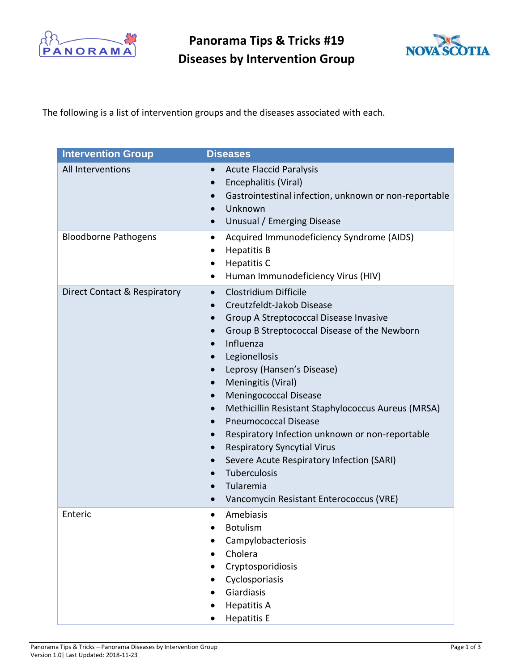

**Panorama Tips & Tricks #19 Diseases by Intervention Group**



The following is a list of intervention groups and the diseases associated with each.

| <b>Intervention Group</b>    | <b>Diseases</b>                                                                                                                                                                                                                                                                                                                                                                                                                                                                                                                                                                                                                                                                                                                                                                   |
|------------------------------|-----------------------------------------------------------------------------------------------------------------------------------------------------------------------------------------------------------------------------------------------------------------------------------------------------------------------------------------------------------------------------------------------------------------------------------------------------------------------------------------------------------------------------------------------------------------------------------------------------------------------------------------------------------------------------------------------------------------------------------------------------------------------------------|
| All Interventions            | <b>Acute Flaccid Paralysis</b><br>$\bullet$<br>Encephalitis (Viral)<br>$\bullet$<br>Gastrointestinal infection, unknown or non-reportable<br>$\bullet$<br>Unknown<br>$\bullet$<br>Unusual / Emerging Disease<br>$\bullet$                                                                                                                                                                                                                                                                                                                                                                                                                                                                                                                                                         |
| <b>Bloodborne Pathogens</b>  | Acquired Immunodeficiency Syndrome (AIDS)<br>$\bullet$<br><b>Hepatitis B</b><br>٠<br><b>Hepatitis C</b><br>$\bullet$<br>Human Immunodeficiency Virus (HIV)<br>٠                                                                                                                                                                                                                                                                                                                                                                                                                                                                                                                                                                                                                   |
| Direct Contact & Respiratory | Clostridium Difficile<br>$\bullet$<br>Creutzfeldt-Jakob Disease<br>$\bullet$<br>Group A Streptococcal Disease Invasive<br>$\bullet$<br>Group B Streptococcal Disease of the Newborn<br>$\bullet$<br>Influenza<br>$\bullet$<br>Legionellosis<br>$\bullet$<br>Leprosy (Hansen's Disease)<br>$\bullet$<br>Meningitis (Viral)<br>$\bullet$<br><b>Meningococcal Disease</b><br>$\bullet$<br>Methicillin Resistant Staphylococcus Aureus (MRSA)<br>$\bullet$<br><b>Pneumococcal Disease</b><br>$\bullet$<br>Respiratory Infection unknown or non-reportable<br>$\bullet$<br><b>Respiratory Syncytial Virus</b><br>$\bullet$<br>Severe Acute Respiratory Infection (SARI)<br>$\bullet$<br>Tuberculosis<br>$\bullet$<br>Tularemia<br>$\bullet$<br>Vancomycin Resistant Enterococcus (VRE) |
| Enteric                      | Amebiasis<br>$\bullet$<br><b>Botulism</b><br>Campylobacteriosis<br>Cholera<br>Cryptosporidiosis<br>Cyclosporiasis<br>Giardiasis<br><b>Hepatitis A</b><br><b>Hepatitis E</b>                                                                                                                                                                                                                                                                                                                                                                                                                                                                                                                                                                                                       |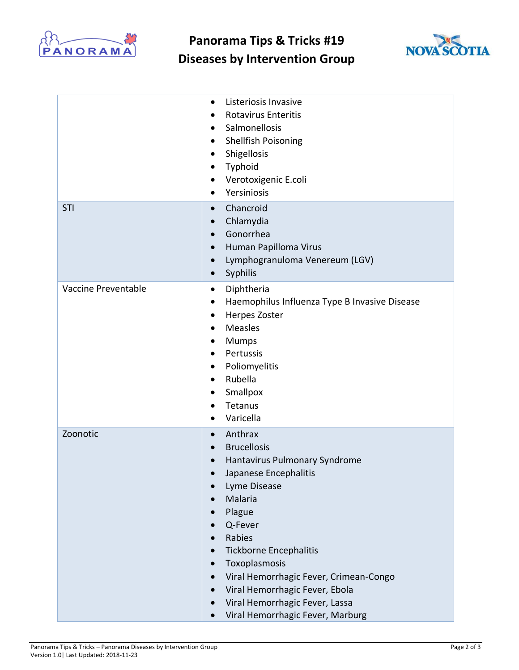

**Panorama Tips & Tricks #19 Diseases by Intervention Group**



|                     | Listeriosis Invasive<br>$\bullet$<br><b>Rotavirus Enteritis</b><br>$\bullet$<br>Salmonellosis<br>$\bullet$<br>Shellfish Poisoning<br>$\bullet$<br>Shigellosis<br>$\bullet$<br>Typhoid<br>Verotoxigenic E.coli<br>Yersiniosis<br>$\bullet$                                                                                                                                                                                                                                                                         |
|---------------------|-------------------------------------------------------------------------------------------------------------------------------------------------------------------------------------------------------------------------------------------------------------------------------------------------------------------------------------------------------------------------------------------------------------------------------------------------------------------------------------------------------------------|
| STI                 | Chancroid<br>$\bullet$<br>Chlamydia<br>$\bullet$<br>Gonorrhea<br>$\bullet$<br>Human Papilloma Virus<br>$\bullet$<br>Lymphogranuloma Venereum (LGV)<br>$\bullet$<br>Syphilis<br>$\bullet$                                                                                                                                                                                                                                                                                                                          |
| Vaccine Preventable | Diphtheria<br>$\bullet$<br>Haemophilus Influenza Type B Invasive Disease<br>$\bullet$<br>Herpes Zoster<br>٠<br>Measles<br>$\bullet$<br><b>Mumps</b><br>Pertussis<br>$\bullet$<br>Poliomyelitis<br>$\bullet$<br>Rubella<br>$\bullet$<br>Smallpox<br>Tetanus<br>$\bullet$<br>Varicella<br>$\bullet$                                                                                                                                                                                                                 |
| Zoonotic            | Anthrax<br>$\bullet$<br><b>Brucellosis</b><br>$\bullet$<br>Hantavirus Pulmonary Syndrome<br>$\bullet$<br>Japanese Encephalitis<br>Lyme Disease<br>Malaria<br>Plague<br>$\bullet$<br>Q-Fever<br>$\bullet$<br>Rabies<br>$\bullet$<br><b>Tickborne Encephalitis</b><br>$\bullet$<br>Toxoplasmosis<br>$\bullet$<br>Viral Hemorrhagic Fever, Crimean-Congo<br>$\bullet$<br>Viral Hemorrhagic Fever, Ebola<br>$\bullet$<br>Viral Hemorrhagic Fever, Lassa<br>$\bullet$<br>Viral Hemorrhagic Fever, Marburg<br>$\bullet$ |